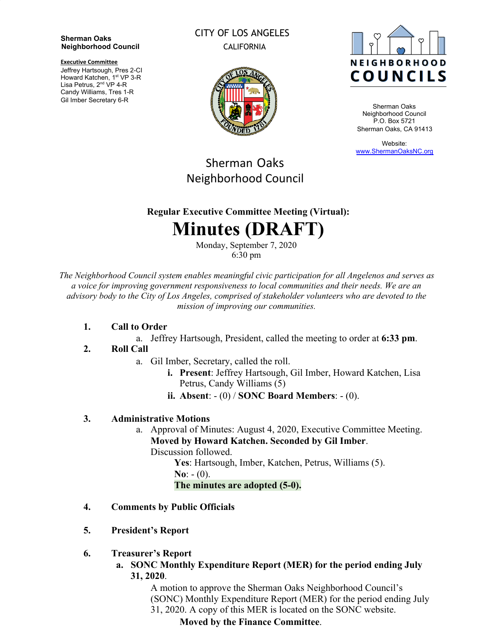#### **Sherman Oaks Neighborhood Council**

**Executive Committee**

Jeffrey Hartsough, Pres 2-CI Howard Katchen, 1<sup>st</sup> VP 3-R Lisa Petrus, 2<sup>nd</sup> VP 4-R Candy Williams, Tres 1-R Gil Imber Secretary 6-R

# CITY OF LOS ANGELES CALIFORNIA





Sherman Oaks Neighborhood Council P.O. Box 5721 Sherman Oaks, CA 91413

Website: [www.ShermanOaksNC.org](http://www.shermanoaksnc.org/)

# Sherman Oaks Neighborhood Council

# **Regular Executive Committee Meeting (Virtual):**

# **Minutes (DRAFT)**

Monday, September 7, 2020 6:30 pm

*The Neighborhood Council system enables meaningful civic participation for all Angelenos and serves as a voice for improving government responsiveness to local communities and their needs. We are an advisory body to the City of Los Angeles, comprised of stakeholder volunteers who are devoted to the mission of improving our communities.*

#### **1. Call to Order**

a. Jeffrey Hartsough, President, called the meeting to order at **6:33 pm**.

# **2. Roll Call**

- a. Gil Imber, Secretary, called the roll.
	- **i. Present**: Jeffrey Hartsough, Gil Imber, Howard Katchen, Lisa Petrus, Candy Williams (5)
	- **ii. Absent**: (0) / **SONC Board Members**: (0).

# **3. Administrative Motions**

a. Approval of Minutes: August 4, 2020, Executive Committee Meeting. **Moved by Howard Katchen. Seconded by Gil Imber**. Discussion followed.

**Yes**: Hartsough, Imber, Katchen, Petrus, Williams (5). **No**:  $- (0)$ . **The minutes are adopted (5-0).**

- **4. Comments by Public Officials**
- **5. President's Report**
- **6. Treasurer's Report**
	- **a. SONC Monthly Expenditure Report (MER) for the period ending July 31, 2020**.

A motion to approve the Sherman Oaks Neighborhood Council's (SONC) Monthly Expenditure Report (MER) for the period ending July 31, 2020. A copy of this MER is located on the SONC website.

# **Moved by the Finance Committee**.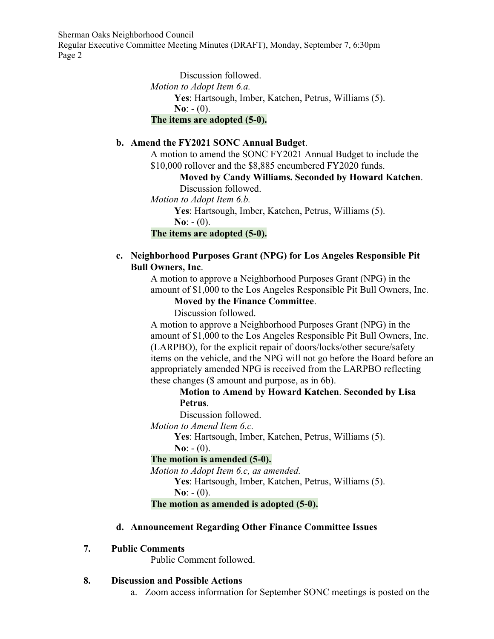Sherman Oaks Neighborhood Council

Regular Executive Committee Meeting Minutes (DRAFT), Monday, September 7, 6:30pm Page 2

> Discussion followed. *Motion to Adopt Item 6.a.* **Yes**: Hartsough, Imber, Katchen, Petrus, Williams (5).  $N_0$ :  $- (0)$ . **The items are adopted (5-0).**

#### **b. Amend the FY2021 SONC Annual Budget**.

A motion to amend the SONC FY2021 Annual Budget to include the \$10,000 rollover and the \$8,885 encumbered FY2020 funds.

**Moved by Candy Williams. Seconded by Howard Katchen**. Discussion followed.

*Motion to Adopt Item 6.b.*

**Yes**: Hartsough, Imber, Katchen, Petrus, Williams (5).

**No**:  $- (0)$ .

**The items are adopted (5-0).**

#### **c. Neighborhood Purposes Grant (NPG) for Los Angeles Responsible Pit Bull Owners, Inc**.

A motion to approve a Neighborhood Purposes Grant (NPG) in the amount of \$1,000 to the Los Angeles Responsible Pit Bull Owners, Inc.

#### **Moved by the Finance Committee**.

Discussion followed.

A motion to approve a Neighborhood Purposes Grant (NPG) in the amount of \$1,000 to the Los Angeles Responsible Pit Bull Owners, Inc. (LARPBO), for the explicit repair of doors/locks/other secure/safety items on the vehicle, and the NPG will not go before the Board before an appropriately amended NPG is received from the LARPBO reflecting these changes (\$ amount and purpose, as in 6b).

**Motion to Amend by Howard Katchen**. **Seconded by Lisa Petrus**.

Discussion followed.

*Motion to Amend Item 6.c.*

**Yes**: Hartsough, Imber, Katchen, Petrus, Williams (5).

 $N_0$ :  $- (0)$ .

#### **The motion is amended (5-0).**

*Motion to Adopt Item 6.c, as amended.*

**Yes**: Hartsough, Imber, Katchen, Petrus, Williams (5). **No**:  $- (0)$ .

#### **The motion as amended is adopted (5-0).**

#### **d. Announcement Regarding Other Finance Committee Issues**

#### **7. Public Comments**

Public Comment followed.

#### **8. Discussion and Possible Actions**

a. Zoom access information for September SONC meetings is posted on the